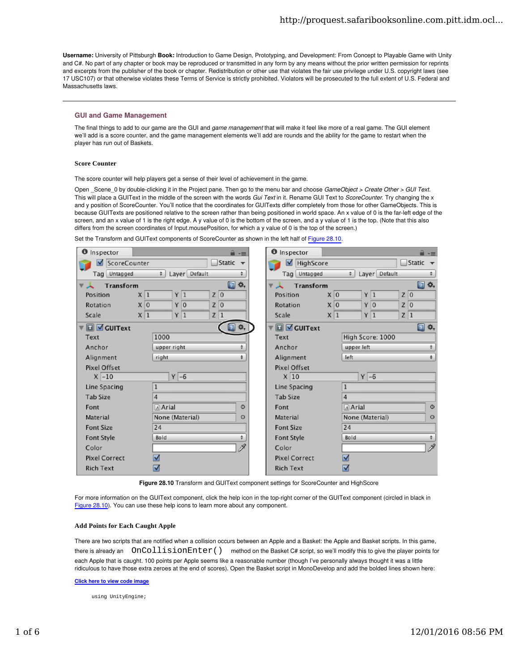Username: University of Pittsburgh Book: Introduction to Game Design, Prototyping, and Development: From Concept to Playable Game with Unity and C#. No part of any chapter or book may be reproduced or transmitted in any form by any means without the prior written permission for reprints and excerpts from the publisher of the book or chapter. Redistribution or other use that violates the fair use privilege under U.S. copyright laws (see 17 USC107) or that otherwise violates these Terms of Service is strictly prohibited. Violators will be prosecuted to the full extent of U.S. Federal and Massachusetts laws.

# GUI and Game Management

The final things to add to our game are the GUI and game management that will make it feel like more of a real game. The GUI element we'll add is a score counter, and the game management elements we'll add are rounds and the ability for the game to restart when the player has run out of Baskets.

### **Score Counter**

The score counter will help players get a sense of their level of achievement in the game.

Open \_Scene\_0 by double-clicking it in the Project pane. Then go to the menu bar and choose GameObject > Create Other > GUI Text. This will place a GUIText in the middle of the screen with the words Gui Text in it. Rename GUI Text to ScoreCounter. Try changing the x and y position of ScoreCounter. You'll notice that the coordinates for GUITexts differ completely from those for other GameObjects. This is because GUITexts are positioned relative to the screen rather than being positioned in world space. An x value of 0 is the far-left edge of the screen, and an x value of 1 is the right edge. A y value of 0 is the bottom of the screen, and a y value of 1 is the top. (Note that this also differs from the screen coordinates of Input.mousePosition, for which a y value of 0 is the top of the screen.)

Set the Transform and GUIText components of ScoreCounter as shown in the left half of Figure 28.10.

| <b>O</b> Inspector                                             |                                  | <b>O</b> Inspector<br>$\rightarrow -$ |                      |                                                   |                | $\rightarrow -\equiv$      |       |  |
|----------------------------------------------------------------|----------------------------------|---------------------------------------|----------------------|---------------------------------------------------|----------------|----------------------------|-------|--|
| Static<br>ScoreCounter<br>M                                    |                                  |                                       | M                    | HighScore<br>Static                               |                |                            |       |  |
| $\div$<br>Layer Default<br>Tag Untagged<br>$\ddot{}$           |                                  |                                       |                      | Tag Untagged<br>Layer Default<br>$\div$<br>$\div$ |                |                            |       |  |
| ☆,<br>$\square$<br><b>Transform</b><br>$\overline{\mathbf{v}}$ |                                  |                                       |                      | 回 **。<br><b>Transform</b>                         |                |                            |       |  |
| Position                                                       | Y 1<br>X 1                       | $Z$ <sub>0</sub>                      | Position             | X <sub>0</sub>                                    | Y 1            |                            | Z 0   |  |
| Rotation                                                       | Y <sub>0</sub><br>X <sub>0</sub> | $Z$ <sub>0</sub>                      | Rotation             |                                                   | X <sub>0</sub> | Y <sub>0</sub>             | Z 0   |  |
| Scale                                                          | Y 1<br>X 1                       | Z 1                                   | Scale                |                                                   | Y 1<br>X 1     |                            | Z 1   |  |
| ☆,<br>▼ O GUIText                                              |                                  |                                       |                      | <b>□</b> Ø GUIText                                |                |                            | 回 **。 |  |
| Text                                                           | 1000                             |                                       | Text                 |                                                   |                | High Score: 1000           |       |  |
| Anchor                                                         | ÷<br>upper right                 |                                       |                      | Anchor                                            |                | $\div$<br>upper left       |       |  |
| Alignment                                                      | $\ddot{\tau}$<br>right           |                                       | Alignment            |                                                   | left           | $\div$                     |       |  |
| <b>Pixel Offset</b>                                            |                                  |                                       |                      | <b>Pixel Offset</b>                               |                |                            |       |  |
| $X$ -10                                                        | $Y$ -6                           |                                       | X 10                 |                                                   |                | $Y$ -6                     |       |  |
| Line Spacing                                                   | $\mathbf 1$                      |                                       | Line Spacing         |                                                   | $\mathbf 1$    |                            |       |  |
| <b>Tab Size</b>                                                | 4                                |                                       | <b>Tab Size</b>      |                                                   | 4              |                            |       |  |
| Font                                                           | A Arial<br>$\circ$               |                                       | Font                 |                                                   | A Arial        | $\circ$                    |       |  |
| Material                                                       | None (Material)<br>O             |                                       | Material             |                                                   |                | None (Material)<br>$\circ$ |       |  |
| <b>Font Size</b>                                               | 24                               |                                       |                      | <b>Font Size</b>                                  |                | 24                         |       |  |
| <b>Font Style</b>                                              | $\ddot{+}$<br>Bold               |                                       | <b>Font Style</b>    |                                                   | <b>Bold</b>    | $\ddot{ }$                 |       |  |
| Color                                                          | P                                |                                       | Color                |                                                   |                | P                          |       |  |
| <b>Pixel Correct</b>                                           | ⊽                                |                                       | <b>Pixel Correct</b> | ☑                                                 |                |                            |       |  |
| <b>Rich Text</b>                                               | ☑                                |                                       |                      | ☑<br><b>Rich Text</b>                             |                |                            |       |  |

Figure 28.10 Transform and GUIText component settings for ScoreCounter and HighScore

For more information on the GUIText component, click the help icon in the top-right corner of the GUIText component (circled in black in Figure 28.10). You can use these help icons to learn more about any component.

### **Add Points for Each Caught Apple**

There are two scripts that are notified when a collision occurs between an Apple and a Basket: the Apple and Basket scripts. In this game, there is already an  $OnCollisionEnter()$  method on the Basket C# script, so we'll modify this to give the player points for each Apple that is caught. 100 points per Apple seems like a reasonable number (though I've personally always thought it was a little ridiculous to have those extra zeroes at the end of scores). Open the Basket script in MonoDevelop and add the bolded lines shown here:

#### Click here to view code image

using UnityEngine;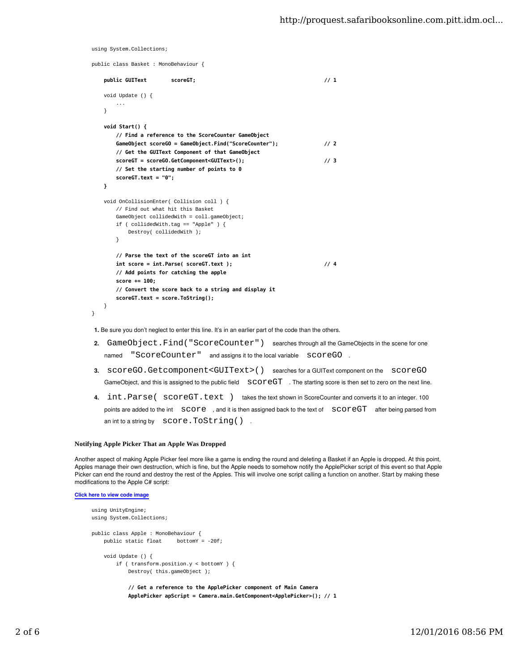```
using System.Collections;
```

```
public class Basket : MonoBehaviour {
    public GUIText scoreGT; \frac{1}{1} void Update () {
        ...
   \mathbf{r}void Start() {
       // Find a reference to the ScoreCounter GameObject
       GameObject scoreGO = GameObject.Find("ScoreCounter");               // 2
       // Get the GUIText Component of that GameObject
       scoreGT = scoreGO.GetComponent<GUIText>();                          // 3
       // Set the starting number of points to 0
       scoreGT.text = "0";
   }
     void OnCollisionEnter( Collision coll ) {
        // Find out what hit this Basket
        GameObject collidedWith = coll.gameObject;
        if ( collidedWith.tag == "Apple" ) {
            Destroy( collidedWith );
        }
       // Parse the text of the scoreGT into an int
       int score = int.Parse( scoreGT.text );                              // 4
       // Add points for catching the apple
       score += 100;
       // Convert the score back to a string and display it
       scoreGT.text = score.ToString();
    }
}
```
1. Be sure you don't neglect to enter this line. It's in an earlier part of the code than the others.

- 2. GameObject.Find("ScoreCounter") searches through all the GameObjects in the scene for one named "ScoreCounter" and assigns it to the local variable SCOreGO.
- 3. SCOTEGO.Getcomponent<GUIText>() searches for a GUIText component on the SCOTEGO GameObject, and this is assigned to the public field  $SCOP-\text{CFT}$ . The starting score is then set to zero on the next line.
- 4.  $int.Parse( scoreGT.text )$  takes the text shown in ScoreCounter and converts it to an integer. 100 points are added to the int SCOTE, and it is then assigned back to the text of SCOTEGT after being parsed from an int to a string by SCOTe. TOString().

### **Notifying Apple Picker That an Apple Was Dropped**

Another aspect of making Apple Picker feel more like a game is ending the round and deleting a Basket if an Apple is dropped. At this point, Apples manage their own destruction, which is fine, but the Apple needs to somehow notify the ApplePicker script of this event so that Apple Picker can end the round and destroy the rest of the Apples. This will involve one script calling a function on another. Start by making these modifications to the Apple C# script:

## Click here to view code image

```
using UnityEngine;
using System.Collections;
public class Apple : MonoBehaviour {
     public static float bottomY = -20f;
     void Update () {
         if ( transform.position.y < bottomY ) {
             Destroy( this.gameObject );
             // Get a reference to the ApplePicker component of Main Camera
```

```
 ApplePicker apScript = Camera.main.GetComponent<ApplePicker>(); // 1
```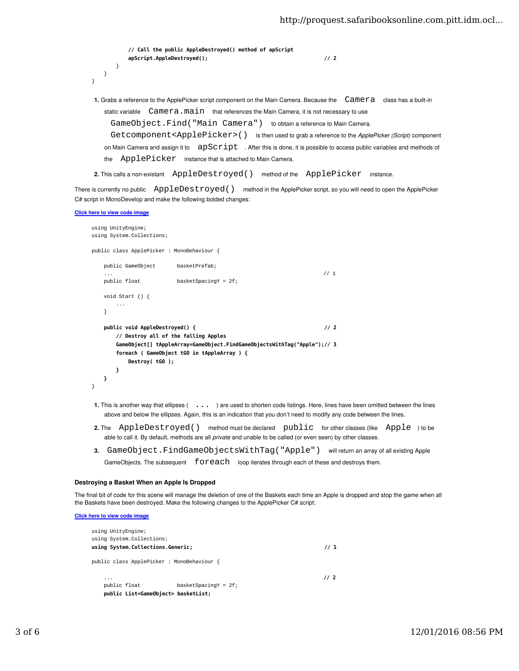```
// Call the public AppleDestroyed() method of apScript
            apScript.AppleDestroyed();                                      // 2
        }
    }
}
 1. Grabs a reference to the ApplePicker script component on the Main Camera. Because the Camera class has a built-in
    static variable Camera.nain that references the Main Camera, it is not necessary to use
```
GameObject.Find("Main Camera") to obtain a reference to Main Camera.

Getcomponent<ApplePicker>() is then used to grab a reference to the ApplePicker (Script) component

```
on Main Camera and assign it to a apscript \ldots After this is done, it is possible to access public variables and methods of
the ApplePicker instance that is attached to Main Camera.
```
2. This calls a non-existant AppleDestroyed () method of the ApplePicker instance.

There is currently no public  $\quad$  AppleDestroyed() method in the ApplePicker script, so you will need to open the ApplePicker C# script in MonoDevelop and make the following bolded changes:

## Click here to view code image

```
using UnityEngine;
using System.Collections;
public class ApplePicker : MonoBehaviour {
    public GameObject basketPrefab;
... \frac{1}{2} // 1
    public float basketSpacingY = 2f;
   void Start () {
        ...
    }
   public void AppleDestroyed() {                                          // 2
      // Destroy all of the falling Apples
      GameObject[] tAppleArray=GameObject.FindGameObjectsWithTag("Apple");// 3
      foreach ( GameObject tGO in tAppleArray ) {
          Destroy( tGO );
      }
   }
}
```
- 1. This is another way that ellipses ( ... ) are used to shorten code listings. Here, lines have been omitted between the lines above and below the ellipses. Again, this is an indication that you don't need to modify any code between the lines.
- 2. The AppleDestroyed() method must be declared public for other classes (like Apple) to be able to call it. By default, methods are all private and unable to be called (or even seen) by other classes.
- 3. GameObject.FindGameObjectsWithTag("Apple") will return an array of all existing Apple GameObjects. The subsequent  $for each$  loop iterates through each of these and destroys them.

### Destroying a Basket When an Apple Is Dropped

The final bit of code for this scene will manage the deletion of one of the Baskets each time an Apple is dropped and stop the game when all the Baskets have been destroyed. Make the following changes to the ApplePicker C# script:

Click here to view code image

```
using UnityEngine;
using System.Collections;
using System.Collections.Generic;                                           // 1
public class ApplePicker : MonoBehaviour {
 ... // 2
   public float basketSpacingY = 2f;
   public List<GameObject> basketList;
```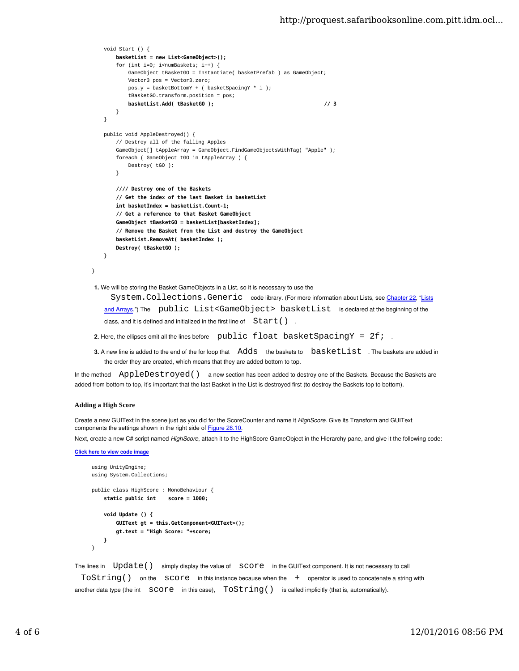```
 void Start () {
       basketList = new List<GameObject>();
       for (int i=0; i<numBaskets; i^{++}) {
            GameObject tBasketGO = Instantiate( basketPrefab ) as GameObject;
            Vector3 pos = Vector3.zero;
           pos.y = basketBottomY + ( basketSpacingY * i);
            tBasketGO.transform.position = pos;
           basketList.Add( tBasketGO );                                    // 3
        }
    }
   public void AppleDestroyed() {
        // Destroy all of the falling Apples
        GameObject[] tAppleArray = GameObject.FindGameObjectsWithTag( "Apple" );
        foreach ( GameObject tGO in tAppleArray ) {
            Destroy( tGO );
        }
       //// Destroy one of the Baskets
       // Get the index of the last Basket in basketList
       int basketIndex = basketList.Count-1;
       // Get a reference to that Basket GameObject
       GameObject tBasketGO = basketList[basketIndex];
       // Remove the Basket from the List and destroy the GameObject
       basketList.RemoveAt( basketIndex );
       Destroy( tBasketGO );
    }
1. We will be storing the Basket GameObjects in a List, so it is necessary to use the
     System. Collections. Generic code library. (For more information about Lists, see Chapter 22, "Lists
```
and Arrays.") The public List<GameObject> basketList is declared at the beginning of the class, and it is defined and initialized in the first line of  $Start()$ .

- 2. Here, the ellipses omit all the lines before public float basketSpacingY = 2f;
- 3. A new line is added to the end of the for loop that Adds the baskets to  $b$ asketList . The baskets are added in the order they are created, which means that they are added bottom to top.

In the method  $\Delta$ ppleDestroyed() a new section has been added to destroy one of the Baskets. Because the Baskets are added from bottom to top, it's important that the last Basket in the List is destroyed first (to destroy the Baskets top to bottom).

## **Adding a High Score**

}

Create a new GUIText in the scene just as you did for the ScoreCounter and name it HighScore. Give its Transform and GUIText components the settings shown in the right side of Figure 28.10.

Next, create a new C# script named HighScore, attach it to the HighScore GameObject in the Hierarchy pane, and give it the following code:

Click here to view code image

```
using UnityEngine;
     using System.Collections;
     public class HighScore : MonoBehaviour {
          static public int    score = 1000;
          void Update () {
              GUIText gt = this.GetComponent<GUIText>();
              gt.text = "High Score: "+score;
          }
     }
The lines in Update() simply display the value of Score in the GUIText component. It is not necessary to call
```
TOString() on the SCOPe in this instance because when the + operator is used to concatenate a string with another data type (the int  $score$  in this case),  $ToString()$  is called implicitly (that is, automatically).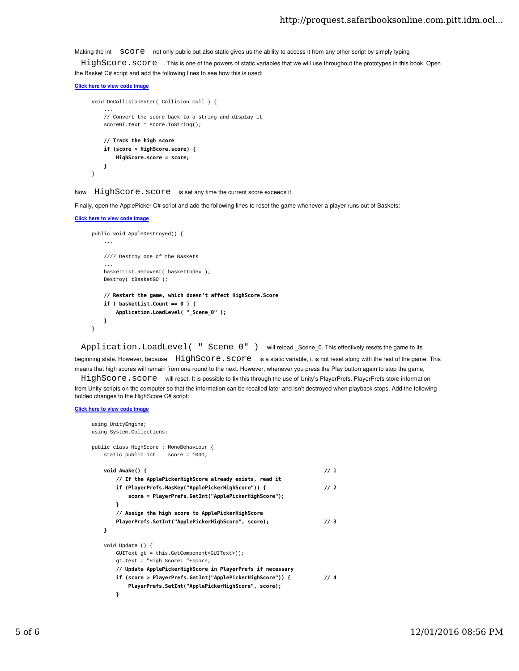Making the int SCOTE not only public but also static gives us the ability to access it from any other script by simply typing

HighScore. score . This is one of the powers of static variables that we will use throughout the prototypes in this book. Open the Basket C# script and add the following lines to see how this is used:

```
Click here to view code image
```

```
void OnCollisionEnter( Collision coll ) {
 ...
     // Convert the score back to a string and display it
    scoreGT.text = score.ToString();
   // Track the high score
   if (score > HighScore.score) {
       HighScore.score = score;
   }
}
```
Now HighScore.score is set any time the current score exceeds it.

Finally, open the ApplePicker C# script and add the following lines to reset the game whenever a player runs out of Baskets:

```
Click here to view code image
```

```
public void AppleDestroyed() {
     ...
     //// Destroy one of the Baskets
 ...
     basketList.RemoveAt( basketIndex );
     Destroy( tBasketGO );
    // Restart the game, which doesn't affect HighScore.Score
    if ( basketList.Count == 0 ) {
        Application.LoadLevel( "_Scene_0" );
    }
}
```
Application. LoadLevel( "\_Scene\_0" ) will reload Scene 0. This effectively resets the game to its

beginning state. However, because HighScore. score is a static variable, it is not reset along with the rest of the game. This means that high scores will remain from one round to the next. However, whenever you press the Play button again to stop the game,

HighScore. score will reset. It is possible to fix this through the use of Unity's PlayerPrefs. PlayerPrefs store information from Unity scripts on the computer so that the information can be recalled later and isn't destroyed when playback stops. Add the following bolded changes to the HighScore C# script:

## Click here to view code image

```
using UnityEngine;
using System.Collections;
public class HighScore : MonoBehaviour {
    static public int score = 1000;
   \text{void} \ \text{Awake}() \ \{// If the ApplePickerHighScore already exists, read it
       if (PlayerPrefs.HasKey("ApplePickerHighScore")) {                   // 2
           score = PlayerPrefs.GetInt("ApplePickerHighScore");
       }
       // Assign the high score to ApplePickerHighScore
       PlayerPrefs.SetInt("ApplePickerHighScore", score);                  // 3
   }
    void Update () {
        GUIText gt = this.GetComponent<GUIText>();
        gt.text = "High Score: "+score;
       // Update ApplePickerHighScore in PlayerPrefs if necessary
       if (score > PlayerPrefs.GetInt("ApplePickerHighScore")) {           // 4
           PlayerPrefs.SetInt("ApplePickerHighScore", score);
       }
```